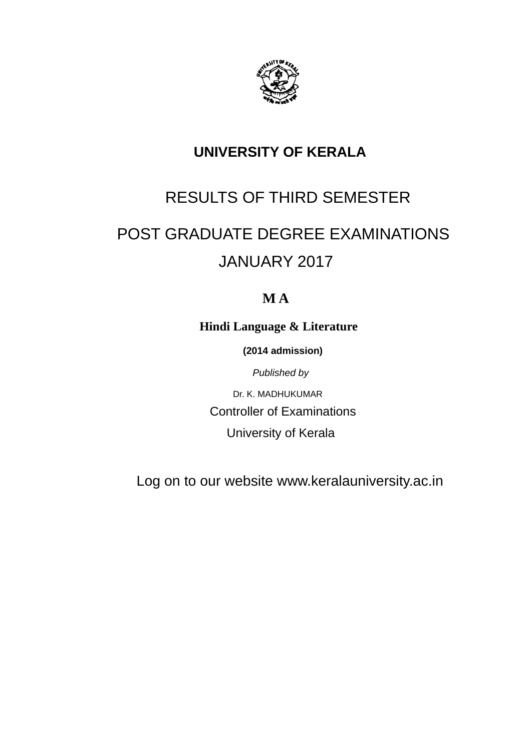

### **UNIVERSITY OF KERALA**

# RESULTS OF THIRD SEMESTER

# POST GRADUATE DEGREE EXAMINATIONS JANUARY 2017

### **M A**

**Hindi Language & Literature**

 **(2014 admission)**

*Published by*

Dr. K. MADHUKUMAR Controller of Examinations University of Kerala

Log on to our website www.keralauniversity.ac.in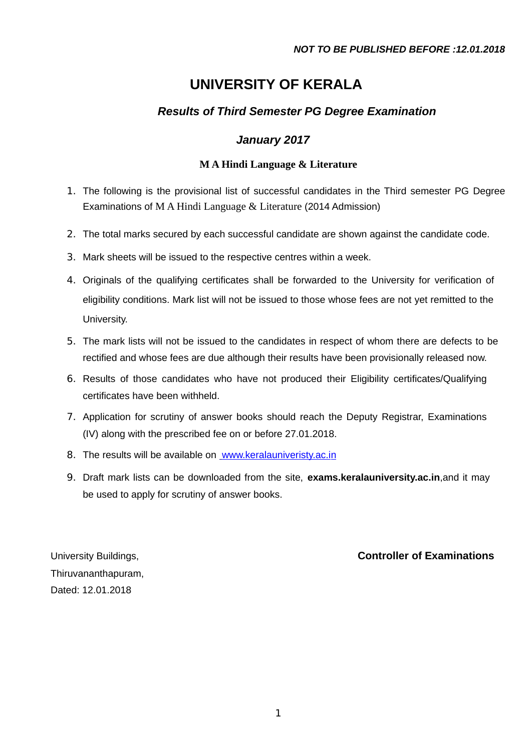### **UNIVERSITY OF KERALA**

### *Results of Third Semester PG Degree Examination*

### *January 2017*

#### **M A Hindi Language & Literature**

- 1. The following is the provisional list of successful candidates in the Third semester PG Degree Examinations of M A Hindi Language & Literature (2014 Admission)
- 2. The total marks secured by each successful candidate are shown against the candidate code.
- 3. Mark sheets will be issued to the respective centres within a week.
- 4. Originals of the qualifying certificates shall be forwarded to the University for verification of eligibility conditions. Mark list will not be issued to those whose fees are not yet remitted to the University.
- 5. The mark lists will not be issued to the candidates in respect of whom there are defects to be rectified and whose fees are due although their results have been provisionally released now.
- 6. Results of those candidates who have not produced their Eligibility certificates/Qualifying certificates have been withheld.
- 7. Application for scrutiny of answer books should reach the Deputy Registrar, Examinations (IV) along with the prescribed fee on or before 27.01.2018.
- 8. The results will be available on [www.keralauniveristy.ac.in](http://www.keralauniveristy.ac.in/)
- 9. Draft mark lists can be downloaded from the site, **exams.keralauniversity.ac.in**,and it may be used to apply for scrutiny of answer books.

Thiruvananthapuram, Dated: 12.01.2018

#### University Buildings, **Controller of Examinations**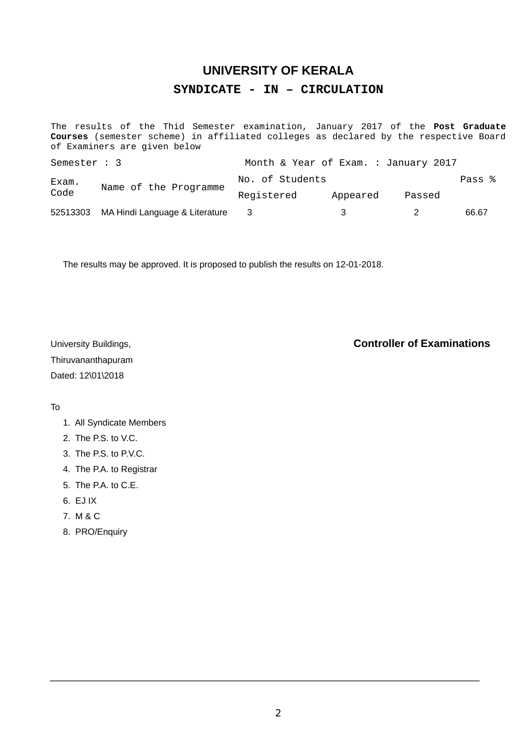### **UNIVERSITY OF KERALA SYNDICATE - IN – CIRCULATION**

The results of the Thid Semester examination, January 2017 of the **Post Graduate Courses** (semester scheme) in affiliated colleges as declared by the respective Board of Examiners are given below

| Semester : 3  |                                | Month & Year of Exam. : January 2017 |          |        |        |
|---------------|--------------------------------|--------------------------------------|----------|--------|--------|
| Exam.<br>Code | Name of the Programme          | No. of Students                      |          |        | Pass % |
|               |                                | Registered                           | Appeared | Passed |        |
| 52513303      | MA Hindi Language & Literature | - 3                                  |          |        | 66.67  |

The results may be approved. It is proposed to publish the results on 12-01-2018.

Thiruvananthapuram Dated: 12\01\2018

#### University Buildings, **Controller of Examinations**

#### To

- 1. All Syndicate Members
- 2. The P.S. to V.C.
- 3. The P.S. to P.V.C.
- 4. The P.A. to Registrar
- 5. The P.A. to C.E.
- 6. EJ IX
- 7. M & C
- 8. PRO/Enquiry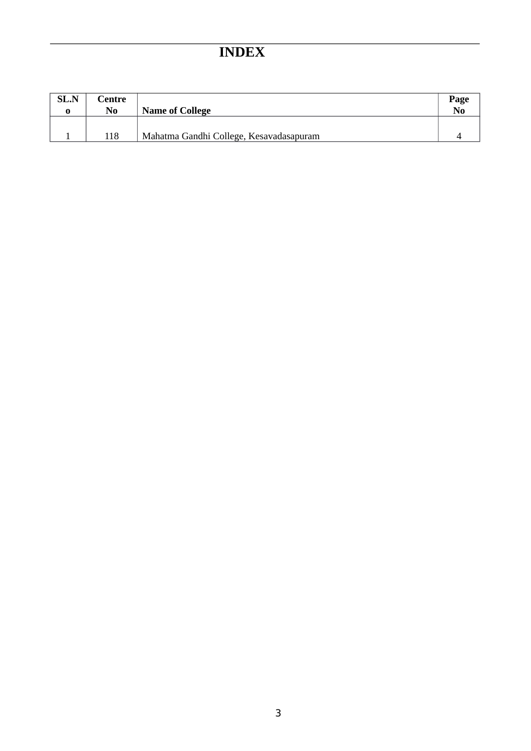## **INDEX**

| <b>SL.N</b> | Centre<br>No | <b>Name of College</b>                  | Page<br>N <sub>0</sub> |
|-------------|--------------|-----------------------------------------|------------------------|
|             | 118          | Mahatma Gandhi College, Kesavadasapuram |                        |
|             |              |                                         |                        |